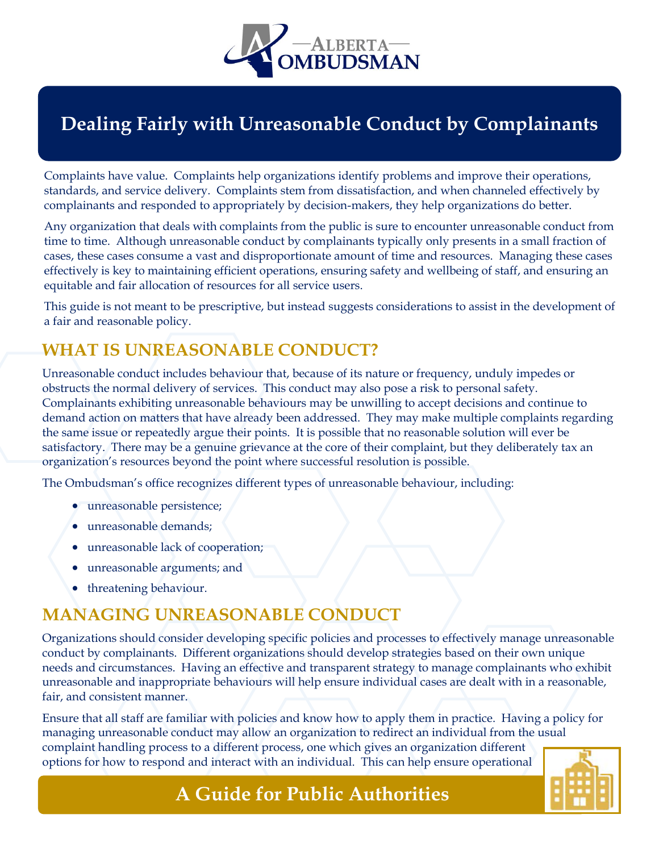

# **Dealing Fairly with Unreasonable Conduct by Complainants**

Complaints have value. Complaints help organizations identify problems and improve their operations, standards, and service delivery. Complaints stem from dissatisfaction, and when channeled effectively by complainants and responded to appropriately by decision-makers, they help organizations do better.

Any organization that deals with complaints from the public is sure to encounter unreasonable conduct from time to time. Although unreasonable conduct by complainants typically only presents in a small fraction of cases, these cases consume a vast and disproportionate amount of time and resources. Managing these cases effectively is key to maintaining efficient operations, ensuring safety and wellbeing of staff, and ensuring an equitable and fair allocation of resources for all service users.

This guide is not meant to be prescriptive, but instead suggests considerations to assist in the development of a fair and reasonable policy.

### **WHAT IS UNREASONABLE CONDUCT?**

Unreasonable conduct includes behaviour that, because of its nature or frequency, unduly impedes or obstructs the normal delivery of services. This conduct may also pose a risk to personal safety. Complainants exhibiting unreasonable behaviours may be unwilling to accept decisions and continue to demand action on matters that have already been addressed. They may make multiple complaints regarding the same issue or repeatedly argue their points. It is possible that no reasonable solution will ever be satisfactory. There may be a genuine grievance at the core of their complaint, but they deliberately tax an organization's resources beyond the point where successful resolution is possible.

The Ombudsman's office recognizes different types of unreasonable behaviour, including:

- unreasonable persistence;
- unreasonable demands;
- unreasonable lack of cooperation;
- unreasonable arguments; and
- threatening behaviour.

#### **MANAGING UNREASONABLE CONDUCT**

Organizations should consider developing specific policies and processes to effectively manage unreasonable conduct by complainants. Different organizations should develop strategies based on their own unique needs and circumstances. Having an effective and transparent strategy to manage complainants who exhibit unreasonable and inappropriate behaviours will help ensure individual cases are dealt with in a reasonable, fair, and consistent manner.

Ensure that all staff are familiar with policies and know how to apply them in practice. Having a policy for managing unreasonable conduct may allow an organization to redirect an individual from the usual complaint handling process to a different process, one which gives an organization different options for how to respond and interact with an individual. This can help ensure operational

# **A Guide for Public Authorities**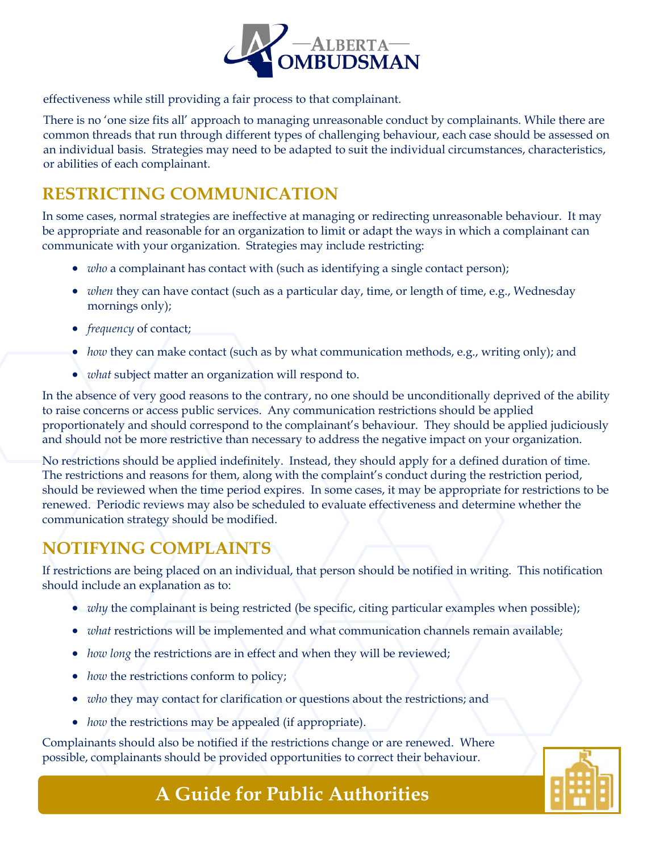

effectiveness while still providing a fair process to that complainant.

There is no 'one size fits all' approach to managing unreasonable conduct by complainants. While there are common threads that run through different types of challenging behaviour, each case should be assessed on an individual basis. Strategies may need to be adapted to suit the individual circumstances, characteristics, or abilities of each complainant.

#### **RESTRICTING COMMUNICATION**

In some cases, normal strategies are ineffective at managing or redirecting unreasonable behaviour. It may be appropriate and reasonable for an organization to limit or adapt the ways in which a complainant can communicate with your organization. Strategies may include restricting:

- *who* a complainant has contact with (such as identifying a single contact person);
- *when* they can have contact (such as a particular day, time, or length of time, e.g., Wednesday mornings only);
- *frequency* of contact;
- *how* they can make contact (such as by what communication methods, e.g., writing only); and
- *what* subject matter an organization will respond to.

In the absence of very good reasons to the contrary, no one should be unconditionally deprived of the ability to raise concerns or access public services. Any communication restrictions should be applied proportionately and should correspond to the complainant's behaviour. They should be applied judiciously and should not be more restrictive than necessary to address the negative impact on your organization.

No restrictions should be applied indefinitely. Instead, they should apply for a defined duration of time. The restrictions and reasons for them, along with the complaint's conduct during the restriction period, should be reviewed when the time period expires. In some cases, it may be appropriate for restrictions to be renewed. Periodic reviews may also be scheduled to evaluate effectiveness and determine whether the communication strategy should be modified.

#### **NOTIFYING COMPLAINTS**

If restrictions are being placed on an individual, that person should be notified in writing. This notification should include an explanation as to:

- *why* the complainant is being restricted (be specific, citing particular examples when possible);
- *what* restrictions will be implemented and what communication channels remain available;
- *how long* the restrictions are in effect and when they will be reviewed;
- *how* the restrictions conform to policy;
- *who* they may contact for clarification or questions about the restrictions; and
- *how* the restrictions may be appealed (if appropriate).

Complainants should also be notified if the restrictions change or are renewed. Where possible, complainants should be provided opportunities to correct their behaviour.



# **A Guide for Public Authorities**